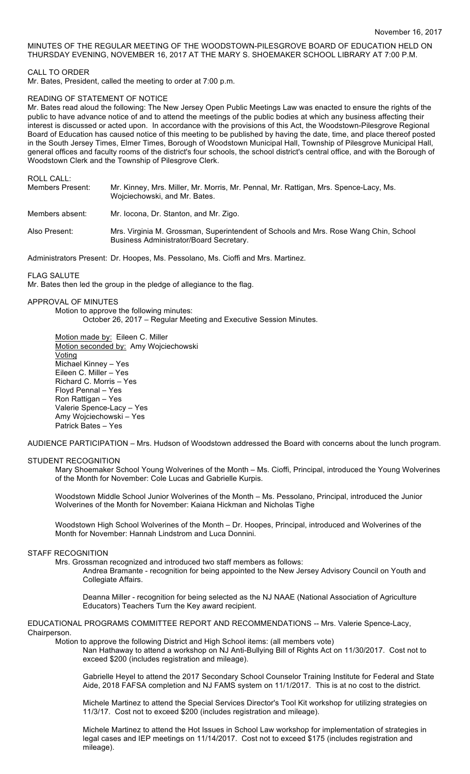# MINUTES OF THE REGULAR MEETING OF THE WOODSTOWN-PILESGROVE BOARD OF EDUCATION HELD ON THURSDAY EVENING, NOVEMBER 16, 2017 AT THE MARY S. SHOEMAKER SCHOOL LIBRARY AT 7:00 P.M.

## CALL TO ORDER

Mr. Bates, President, called the meeting to order at 7:00 p.m.

### READING OF STATEMENT OF NOTICE

Mr. Bates read aloud the following: The New Jersey Open Public Meetings Law was enacted to ensure the rights of the public to have advance notice of and to attend the meetings of the public bodies at which any business affecting their interest is discussed or acted upon. In accordance with the provisions of this Act, the Woodstown-Pilesgrove Regional Board of Education has caused notice of this meeting to be published by having the date, time, and place thereof posted in the South Jersey Times, Elmer Times, Borough of Woodstown Municipal Hall, Township of Pilesgrove Municipal Hall, general offices and faculty rooms of the district's four schools, the school district's central office, and with the Borough of Woodstown Clerk and the Township of Pilesgrove Clerk.

ROLL CALL:

| Members Present: | Mr. Kinney, Mrs. Miller, Mr. Morris, Mr. Pennal, Mr. Rattigan, Mrs. Spence-Lacy, Ms.<br>Wojciechowski, and Mr. Bates.           |
|------------------|---------------------------------------------------------------------------------------------------------------------------------|
| Members absent:  | Mr. locona, Dr. Stanton, and Mr. Zigo.                                                                                          |
| Also Present:    | Mrs. Virginia M. Grossman, Superintendent of Schools and Mrs. Rose Wang Chin, School<br>Business Administrator/Board Secretary. |

Administrators Present: Dr. Hoopes, Ms. Pessolano, Ms. Cioffi and Mrs. Martinez.

#### FLAG SALUTE

Mr. Bates then led the group in the pledge of allegiance to the flag.

## APPROVAL OF MINUTES

Motion to approve the following minutes: October 26, 2017 – Regular Meeting and Executive Session Minutes.

Motion made by: Eileen C. Miller Motion seconded by: Amy Wojciechowski Voting Michael Kinney – Yes Eileen C. Miller – Yes Richard C. Morris – Yes Floyd Pennal – Yes Ron Rattigan – Yes Valerie Spence-Lacy – Yes Amy Wojciechowski – Yes Patrick Bates – Yes

AUDIENCE PARTICIPATION – Mrs. Hudson of Woodstown addressed the Board with concerns about the lunch program.

## STUDENT RECOGNITION

Mary Shoemaker School Young Wolverines of the Month – Ms. Cioffi, Principal, introduced the Young Wolverines of the Month for November: Cole Lucas and Gabrielle Kurpis.

Woodstown Middle School Junior Wolverines of the Month – Ms. Pessolano, Principal, introduced the Junior Wolverines of the Month for November: Kaiana Hickman and Nicholas Tighe

Woodstown High School Wolverines of the Month – Dr. Hoopes, Principal, introduced and Wolverines of the Month for November: Hannah Lindstrom and Luca Donnini.

## STAFF RECOGNITION

Mrs. Grossman recognized and introduced two staff members as follows:

Andrea Bramante - recognition for being appointed to the New Jersey Advisory Council on Youth and Collegiate Affairs.

Deanna Miller - recognition for being selected as the NJ NAAE (National Association of Agriculture Educators) Teachers Turn the Key award recipient.

#### EDUCATIONAL PROGRAMS COMMITTEE REPORT AND RECOMMENDATIONS -- Mrs. Valerie Spence-Lacy, Chairperson.

Motion to approve the following District and High School items: (all members vote)

Nan Hathaway to attend a workshop on NJ Anti-Bullying Bill of Rights Act on 11/30/2017. Cost not to exceed \$200 (includes registration and mileage).

Gabrielle Heyel to attend the 2017 Secondary School Counselor Training Institute for Federal and State Aide, 2018 FAFSA completion and NJ FAMS system on 11/1/2017. This is at no cost to the district.

Michele Martinez to attend the Special Services Director's Tool Kit workshop for utilizing strategies on 11/3/17. Cost not to exceed \$200 (includes registration and mileage).

Michele Martinez to attend the Hot Issues in School Law workshop for implementation of strategies in legal cases and IEP meetings on 11/14/2017. Cost not to exceed \$175 (includes registration and mileage).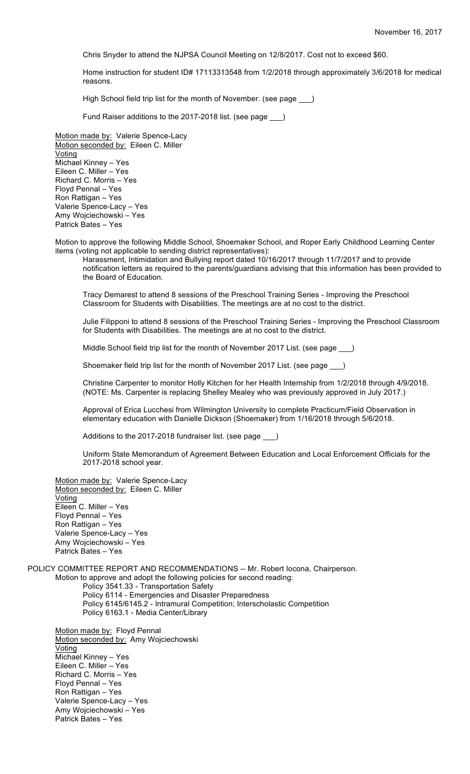Chris Snyder to attend the NJPSA Council Meeting on 12/8/2017. Cost not to exceed \$60.

Home instruction for student ID# 17113313548 from 1/2/2018 through approximately 3/6/2018 for medical reasons.

High School field trip list for the month of November. (see page \_\_\_)

Fund Raiser additions to the 2017-2018 list. (see page \_\_\_)

Motion made by: Valerie Spence-Lacy Motion seconded by: Eileen C. Miller Voting Michael Kinney – Yes Eileen C. Miller – Yes Richard C. Morris – Yes Floyd Pennal – Yes Ron Rattigan – Yes Valerie Spence-Lacy – Yes Amy Wojciechowski – Yes Patrick Bates – Yes

Motion to approve the following Middle School, Shoemaker School, and Roper Early Childhood Learning Center items (voting not applicable to sending district representatives):

Harassment, Intimidation and Bullying report dated 10/16/2017 through 11/7/2017 and to provide notification letters as required to the parents/guardians advising that this information has been provided to the Board of Education.

Tracy Demarest to attend 8 sessions of the Preschool Training Series - Improving the Preschool Classroom for Students with Disabilities. The meetings are at no cost to the district.

Julie Filipponi to attend 8 sessions of the Preschool Training Series - Improving the Preschool Classroom for Students with Disabilities. The meetings are at no cost to the district.

Middle School field trip list for the month of November 2017 List. (see page \_\_\_)

Shoemaker field trip list for the month of November 2017 List. (see page )

Christine Carpenter to monitor Holly Kitchen for her Health Internship from 1/2/2018 through 4/9/2018. (NOTE: Ms. Carpenter is replacing Shelley Mealey who was previously approved in July 2017.)

Approval of Erica Lucchesi from Wilmington University to complete Practicum/Field Observation in elementary education with Danielle Dickson (Shoemaker) from 1/16/2018 through 5/6/2018.

Additions to the 2017-2018 fundraiser list. (see page )

Uniform State Memorandum of Agreement Between Education and Local Enforcement Officials for the 2017-2018 school year.

Motion made by: Valerie Spence-Lacy Motion seconded by: Eileen C. Miller Voting Eileen C. Miller – Yes Floyd Pennal – Yes Ron Rattigan – Yes Valerie Spence-Lacy – Yes

Amy Wojciechowski – Yes Patrick Bates – Yes

POLICY COMMITTEE REPORT AND RECOMMENDATIONS -- Mr. Robert Iocona, Chairperson.

Motion to approve and adopt the following policies for second reading: Policy 3541.33 - Transportation Safety

Policy 6114 - Emergencies and Disaster Preparedness

Policy 6145/6145.2 - Intramural Competition; Interscholastic Competition

Policy 6163.1 - Media Center/Library

Motion made by: Floyd Pennal Motion seconded by: Amy Wojciechowski Voting Michael Kinney – Yes Eileen C. Miller – Yes Richard C. Morris – Yes Floyd Pennal – Yes Ron Rattigan – Yes Valerie Spence-Lacy – Yes Amy Wojciechowski – Yes Patrick Bates – Yes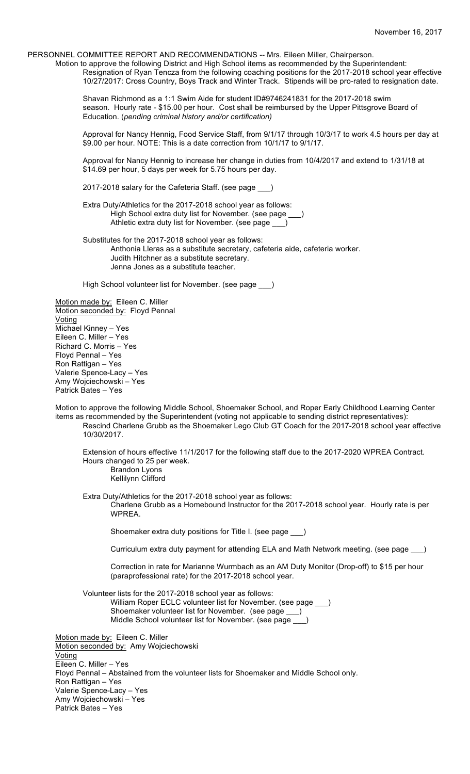PERSONNEL COMMITTEE REPORT AND RECOMMENDATIONS -- Mrs. Eileen Miller, Chairperson.

Motion to approve the following District and High School items as recommended by the Superintendent: Resignation of Ryan Tencza from the following coaching positions for the 2017-2018 school year effective 10/27/2017: Cross Country, Boys Track and Winter Track. Stipends will be pro-rated to resignation date.

Shavan Richmond as a 1:1 Swim Aide for student ID#9746241831 for the 2017-2018 swim season. Hourly rate - \$15.00 per hour. Cost shall be reimbursed by the Upper Pittsgrove Board of Education. (*pending criminal history and/or certification)*

Approval for Nancy Hennig, Food Service Staff, from 9/1/17 through 10/3/17 to work 4.5 hours per day at \$9.00 per hour. NOTE: This is a date correction from 10/1/17 to 9/1/17.

Approval for Nancy Hennig to increase her change in duties from 10/4/2017 and extend to 1/31/18 at \$14.69 per hour, 5 days per week for 5.75 hours per day.

2017-2018 salary for the Cafeteria Staff. (see page \_\_\_)

Extra Duty/Athletics for the 2017-2018 school year as follows: High School extra duty list for November. (see page \_ Athletic extra duty list for November. (see page \_

Substitutes for the 2017-2018 school year as follows: Anthonia Lleras as a substitute secretary, cafeteria aide, cafeteria worker. Judith Hitchner as a substitute secretary. Jenna Jones as a substitute teacher.

High School volunteer list for November. (see page \_\_\_)

Motion made by: Eileen C. Miller Motion seconded by: Floyd Pennal Voting Michael Kinney – Yes Eileen C. Miller – Yes Richard C. Morris – Yes Floyd Pennal – Yes Ron Rattigan – Yes Valerie Spence-Lacy – Yes Amy Wojciechowski – Yes Patrick Bates – Yes

Motion to approve the following Middle School, Shoemaker School, and Roper Early Childhood Learning Center items as recommended by the Superintendent (voting not applicable to sending district representatives): Rescind Charlene Grubb as the Shoemaker Lego Club GT Coach for the 2017-2018 school year effective 10/30/2017.

Extension of hours effective 11/1/2017 for the following staff due to the 2017-2020 WPREA Contract. Hours changed to 25 per week. Brandon Lyons

Kellilynn Clifford

Extra Duty/Athletics for the 2017-2018 school year as follows:

Charlene Grubb as a Homebound Instructor for the 2017-2018 school year. Hourly rate is per WPREA.

Shoemaker extra duty positions for Title I. (see page \_\_\_)

Curriculum extra duty payment for attending ELA and Math Network meeting. (see page \_\_\_)

Correction in rate for Marianne Wurmbach as an AM Duty Monitor (Drop-off) to \$15 per hour (paraprofessional rate) for the 2017-2018 school year.

Volunteer lists for the 2017-2018 school year as follows: William Roper ECLC volunteer list for November. (see page \_\_\_) Shoemaker volunteer list for November. (see page \_\_\_) Middle School volunteer list for November. (see page \_\_\_)

Motion made by: Eileen C. Miller Motion seconded by: Amy Wojciechowski Voting Eileen C. Miller – Yes Floyd Pennal – Abstained from the volunteer lists for Shoemaker and Middle School only. Ron Rattigan – Yes Valerie Spence-Lacy – Yes Amy Wojciechowski – Yes Patrick Bates – Yes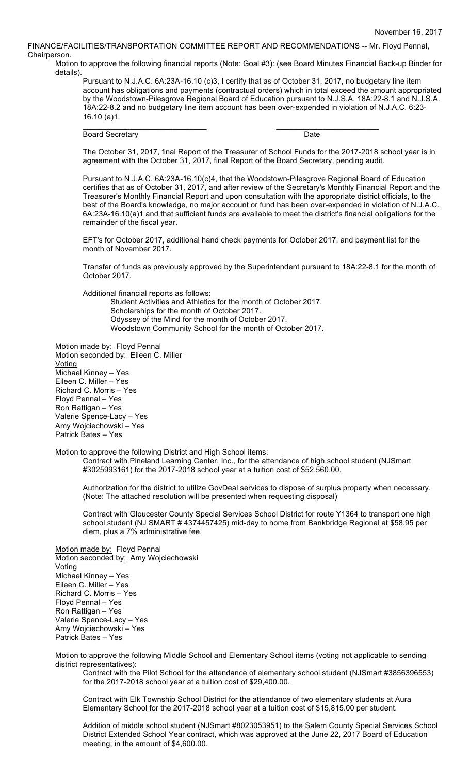FINANCE/FACILITIES/TRANSPORTATION COMMITTEE REPORT AND RECOMMENDATIONS -- Mr. Floyd Pennal, Chairperson.

Motion to approve the following financial reports (Note: Goal #3): (see Board Minutes Financial Back-up Binder for details).

Pursuant to N.J.A.C. 6A:23A-16.10 (c)3, I certify that as of October 31, 2017, no budgetary line item account has obligations and payments (contractual orders) which in total exceed the amount appropriated by the Woodstown-Pilesgrove Regional Board of Education pursuant to N.J.S.A. 18A:22-8.1 and N.J.S.A. 18A:22-8.2 and no budgetary line item account has been over-expended in violation of N.J.A.C. 6:23- 16.10 (a)1.

Board Secretary Date

 $\mathcal{L}_\text{max}$  , and the set of the set of the set of the set of the set of the set of the set of the set of the set of the set of the set of the set of the set of the set of the set of the set of the set of the set of the

The October 31, 2017, final Report of the Treasurer of School Funds for the 2017-2018 school year is in agreement with the October 31, 2017, final Report of the Board Secretary, pending audit.

Pursuant to N.J.A.C. 6A:23A-16.10(c)4, that the Woodstown-Pilesgrove Regional Board of Education certifies that as of October 31, 2017, and after review of the Secretary's Monthly Financial Report and the Treasurer's Monthly Financial Report and upon consultation with the appropriate district officials, to the best of the Board's knowledge, no major account or fund has been over-expended in violation of N.J.A.C. 6A:23A-16.10(a)1 and that sufficient funds are available to meet the district's financial obligations for the remainder of the fiscal year.

EFT's for October 2017, additional hand check payments for October 2017, and payment list for the month of November 2017.

Transfer of funds as previously approved by the Superintendent pursuant to 18A:22-8.1 for the month of October 2017.

Additional financial reports as follows:

Student Activities and Athletics for the month of October 2017. Scholarships for the month of October 2017. Odyssey of the Mind for the month of October 2017.

Woodstown Community School for the month of October 2017.

Motion made by: Floyd Pennal Motion seconded by: Eileen C. Miller Voting Michael Kinney – Yes Eileen C. Miller – Yes Richard C. Morris – Yes Floyd Pennal – Yes Ron Rattigan – Yes Valerie Spence-Lacy – Yes Amy Wojciechowski – Yes Patrick Bates – Yes

Motion to approve the following District and High School items:

Contract with Pineland Learning Center, Inc., for the attendance of high school student (NJSmart #3025993161) for the 2017-2018 school year at a tuition cost of \$52,560.00.

Authorization for the district to utilize GovDeal services to dispose of surplus property when necessary. (Note: The attached resolution will be presented when requesting disposal)

Contract with Gloucester County Special Services School District for route Y1364 to transport one high school student (NJ SMART # 4374457425) mid-day to home from Bankbridge Regional at \$58.95 per diem, plus a 7% administrative fee.

Motion made by: Floyd Pennal Motion seconded by: Amy Wojciechowski Voting Michael Kinney – Yes Eileen C. Miller – Yes Richard C. Morris – Yes Floyd Pennal – Yes Ron Rattigan – Yes Valerie Spence-Lacy – Yes Amy Wojciechowski – Yes Patrick Bates – Yes

Motion to approve the following Middle School and Elementary School items (voting not applicable to sending district representatives):

Contract with the Pilot School for the attendance of elementary school student (NJSmart #3856396553) for the 2017-2018 school year at a tuition cost of \$29,400.00.

Contract with Elk Township School District for the attendance of two elementary students at Aura Elementary School for the 2017-2018 school year at a tuition cost of \$15,815.00 per student.

Addition of middle school student (NJSmart #8023053951) to the Salem County Special Services School District Extended School Year contract, which was approved at the June 22, 2017 Board of Education meeting, in the amount of \$4,600.00.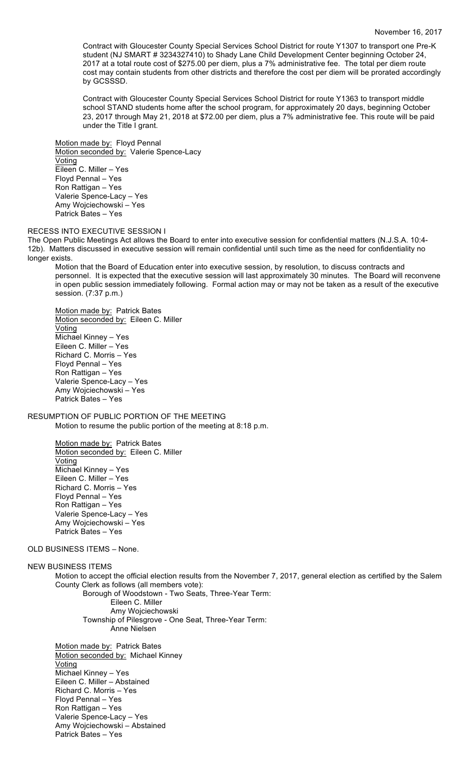Contract with Gloucester County Special Services School District for route Y1307 to transport one Pre-K student (NJ SMART # 3234327410) to Shady Lane Child Development Center beginning October 24, 2017 at a total route cost of \$275.00 per diem, plus a 7% administrative fee. The total per diem route cost may contain students from other districts and therefore the cost per diem will be prorated accordingly by GCSSSD.

Contract with Gloucester County Special Services School District for route Y1363 to transport middle school STAND students home after the school program, for approximately 20 days, beginning October 23, 2017 through May 21, 2018 at \$72.00 per diem, plus a 7% administrative fee. This route will be paid under the Title I grant.

Motion made by: Floyd Pennal Motion seconded by: Valerie Spence-Lacy **Voting** Eileen C. Miller – Yes Floyd Pennal – Yes Ron Rattigan – Yes Valerie Spence-Lacy – Yes Amy Wojciechowski – Yes Patrick Bates – Yes

#### RECESS INTO EXECUTIVE SESSION I

The Open Public Meetings Act allows the Board to enter into executive session for confidential matters (N.J.S.A. 10:4- 12b). Matters discussed in executive session will remain confidential until such time as the need for confidentiality no longer exists.

Motion that the Board of Education enter into executive session, by resolution, to discuss contracts and personnel. It is expected that the executive session will last approximately 30 minutes. The Board will reconvene in open public session immediately following. Formal action may or may not be taken as a result of the executive session. (7:37 p.m.)

Motion made by: Patrick Bates Motion seconded by: Eileen C. Miller Voting Michael Kinney – Yes Eileen C. Miller – Yes Richard C. Morris – Yes Floyd Pennal – Yes Ron Rattigan – Yes Valerie Spence-Lacy – Yes Amy Wojciechowski – Yes Patrick Bates – Yes

RESUMPTION OF PUBLIC PORTION OF THE MEETING

Motion to resume the public portion of the meeting at 8:18 p.m.

Motion made by: Patrick Bates Motion seconded by: Eileen C. Miller **Voting** Michael Kinney – Yes Eileen C. Miller – Yes Richard C. Morris – Yes Floyd Pennal – Yes Ron Rattigan – Yes Valerie Spence-Lacy – Yes Amy Wojciechowski – Yes Patrick Bates – Yes

OLD BUSINESS ITEMS – None.

#### NEW BUSINESS ITEMS

Motion to accept the official election results from the November 7, 2017, general election as certified by the Salem County Clerk as follows (all members vote): Borough of Woodstown - Two Seats, Three-Year Term: Eileen C. Miller Amy Wojciechowski Township of Pilesgrove - One Seat, Three-Year Term: Anne Nielsen

Motion made by: Patrick Bates Motion seconded by: Michael Kinney Voting Michael Kinney – Yes Eileen C. Miller – Abstained Richard C. Morris – Yes Floyd Pennal – Yes Ron Rattigan – Yes Valerie Spence-Lacy – Yes Amy Wojciechowski – Abstained Patrick Bates – Yes